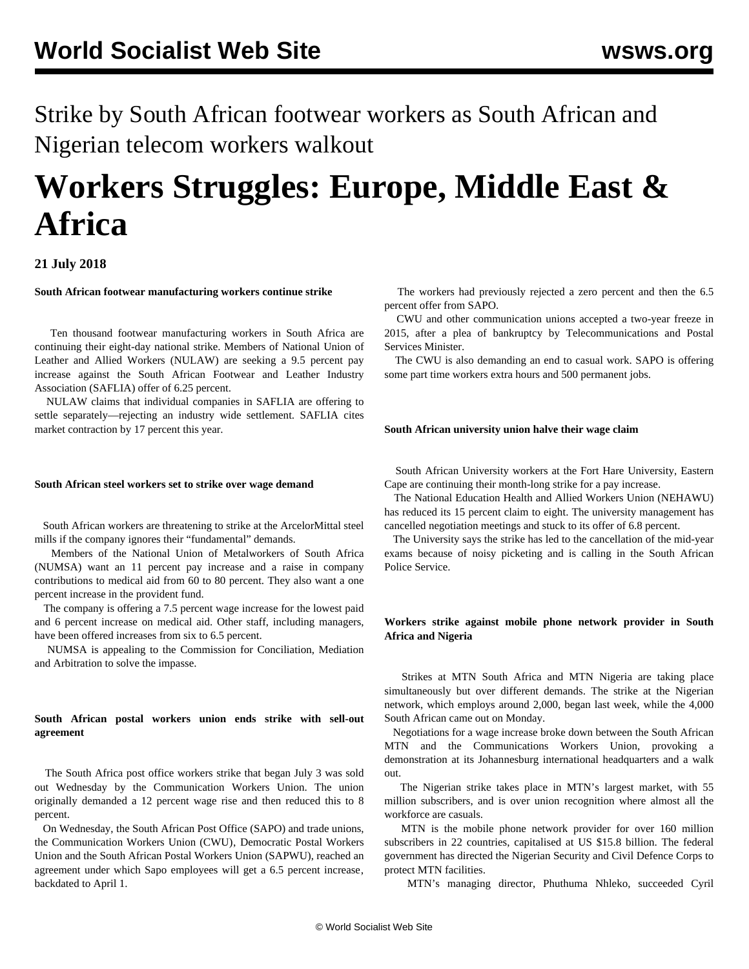Strike by South African footwear workers as South African and Nigerian telecom workers walkout

# **Workers Struggles: Europe, Middle East & Africa**

# **21 July 2018**

**South African footwear manufacturing workers continue strike**

 Ten thousand footwear manufacturing workers in South Africa are continuing their eight-day national strike. Members of National Union of Leather and Allied Workers (NULAW) are seeking a 9.5 percent pay increase against the South African Footwear and Leather Industry Association (SAFLIA) offer of 6.25 percent.

 NULAW claims that individual companies in SAFLIA are offering to settle separately—rejecting an industry wide settlement. SAFLIA cites market contraction by 17 percent this year.

## **South African steel workers set to strike over wage demand**

 South African workers are threatening to strike at the ArcelorMittal steel mills if the company ignores their "fundamental" demands.

 Members of the National Union of Metalworkers of South Africa (NUMSA) want an 11 percent pay increase and a raise in company contributions to medical aid from 60 to 80 percent. They also want a one percent increase in the provident fund.

 The company is offering a 7.5 percent wage increase for the lowest paid and 6 percent increase on medical aid. Other staff, including managers, have been offered increases from six to 6.5 percent.

 NUMSA is appealing to the Commission for Conciliation, Mediation and Arbitration to solve the impasse.

# **South African postal workers union ends strike with sell-out agreement**

 The South Africa post office workers strike that began July 3 was sold out Wednesday by the Communication Workers Union. The union originally demanded a 12 percent wage rise and then reduced this to 8 percent.

 On Wednesday, the South African Post Office (SAPO) and trade unions, the Communication Workers Union (CWU), Democratic Postal Workers Union and the South African Postal Workers Union (SAPWU), reached an agreement under which Sapo employees will get a 6.5 percent increase, backdated to April 1.

 The workers had previously rejected a zero percent and then the 6.5 percent offer from SAPO.

 CWU and other communication unions accepted a two-year freeze in 2015, after a plea of bankruptcy by Telecommunications and Postal Services Minister.

 The CWU is also demanding an end to casual work. SAPO is offering some part time workers extra hours and 500 permanent jobs.

## **South African university union halve their wage claim**

 South African University workers at the Fort Hare University, Eastern Cape are continuing their month-long strike for a pay increase.

 The National Education Health and Allied Workers Union (NEHAWU) has reduced its 15 percent claim to eight. The university management has cancelled negotiation meetings and stuck to its offer of 6.8 percent.

 The University says the strike has led to the cancellation of the mid-year exams because of noisy picketing and is calling in the South African Police Service.

## **Workers strike against mobile phone network provider in South Africa and Nigeria**

 Strikes at MTN South Africa and MTN Nigeria are taking place simultaneously but over different demands. The strike at the Nigerian network, which employs around 2,000, began last week, while the 4,000 South African came out on Monday.

 Negotiations for a wage increase broke down between the South African MTN and the Communications Workers Union, provoking a demonstration at its Johannesburg international headquarters and a walk out.

 The Nigerian strike takes place in MTN's largest market, with 55 million subscribers, and is over union recognition where almost all the workforce are casuals.

 MTN is the mobile phone network provider for over 160 million subscribers in 22 countries, capitalised at US \$15.8 billion. The federal government has directed the Nigerian Security and Civil Defence Corps to protect MTN facilities.

MTN's managing director, Phuthuma Nhleko, succeeded Cyril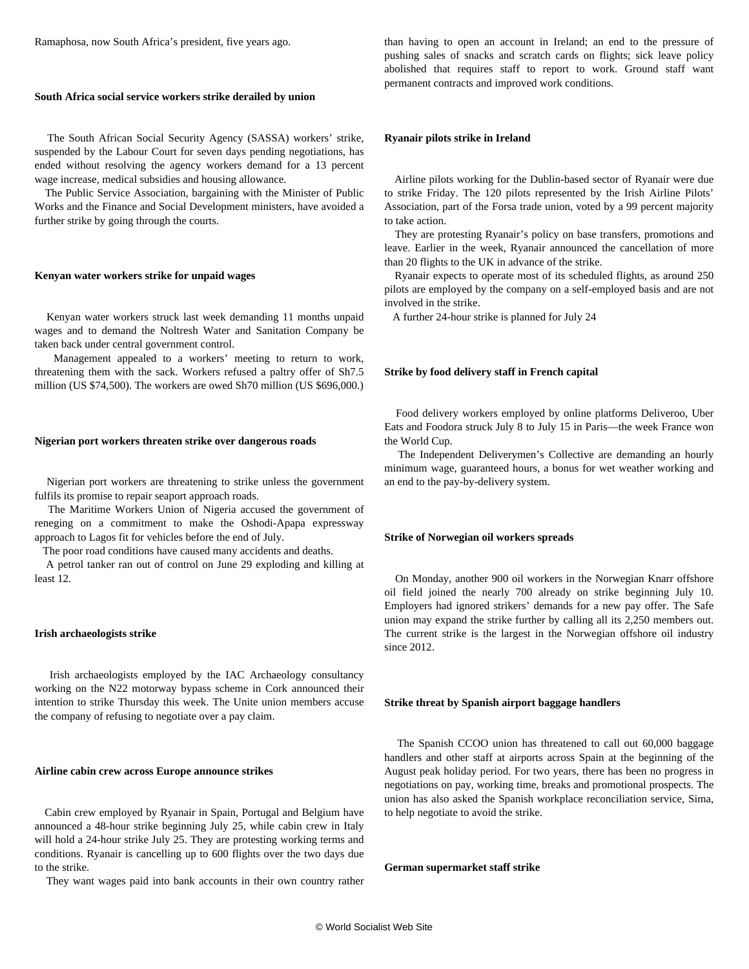Ramaphosa, now South Africa's president, five years ago.

#### **South Africa social service workers strike derailed by union**

 The South African Social Security Agency (SASSA) workers' strike, suspended by the Labour Court for seven days pending negotiations, has ended without resolving the agency workers demand for a 13 percent wage increase, medical subsidies and housing allowance.

 The Public Service Association, bargaining with the Minister of Public Works and the Finance and Social Development ministers, have avoided a further strike by going through the courts.

#### **Kenyan water workers strike for unpaid wages**

 Kenyan water workers struck last week demanding 11 months unpaid wages and to demand the Noltresh Water and Sanitation Company be taken back under central government control.

 Management appealed to a workers' meeting to return to work, threatening them with the sack. Workers refused a paltry offer of Sh7.5 million (US \$74,500). The workers are owed Sh70 million (US \$696,000.)

#### **Nigerian port workers threaten strike over dangerous roads**

 Nigerian port workers are threatening to strike unless the government fulfils its promise to repair seaport approach roads.

 The Maritime Workers Union of Nigeria accused the government of reneging on a commitment to make the Oshodi-Apapa expressway approach to Lagos fit for vehicles before the end of July.

The poor road conditions have caused many accidents and deaths.

 A petrol tanker ran out of control on June 29 exploding and killing at least 12.

#### **Irish archaeologists strike**

 Irish archaeologists employed by the IAC Archaeology consultancy working on the N22 motorway bypass scheme in Cork announced their intention to strike Thursday this week. The Unite union members accuse the company of refusing to negotiate over a pay claim.

#### **Airline cabin crew across Europe announce strikes**

 Cabin crew employed by Ryanair in Spain, Portugal and Belgium have announced a 48-hour strike beginning July 25, while cabin crew in Italy will hold a 24-hour strike July 25. They are protesting working terms and conditions. Ryanair is cancelling up to 600 flights over the two days due to the strike.

They want wages paid into bank accounts in their own country rather

than having to open an account in Ireland; an end to the pressure of pushing sales of snacks and scratch cards on flights; sick leave policy abolished that requires staff to report to work. Ground staff want permanent contracts and improved work conditions.

#### **Ryanair pilots strike in Ireland**

 Airline pilots working for the Dublin-based sector of Ryanair were due to strike Friday. The 120 pilots represented by the Irish Airline Pilots' Association, part of the Forsa trade union, voted by a 99 percent majority to take action.

 They are protesting Ryanair's policy on base transfers, promotions and leave. Earlier in the week, Ryanair announced the cancellation of more than 20 flights to the UK in advance of the strike.

 Ryanair expects to operate most of its scheduled flights, as around 250 pilots are employed by the company on a self-employed basis and are not involved in the strike.

A further 24-hour strike is planned for July 24

#### **Strike by food delivery staff in French capital**

 Food delivery workers employed by online platforms Deliveroo, Uber Eats and Foodora struck July 8 to July 15 in Paris—the week France won the World Cup.

 The Independent Deliverymen's Collective are demanding an hourly minimum wage, guaranteed hours, a bonus for wet weather working and an end to the pay-by-delivery system.

#### **Strike of Norwegian oil workers spreads**

 On Monday, another 900 oil workers in the Norwegian Knarr offshore oil field joined the nearly 700 already on strike beginning July 10. Employers had ignored strikers' demands for a new pay offer. The Safe union may expand the strike further by calling all its 2,250 members out. The current strike is the largest in the Norwegian offshore oil industry since 2012.

#### **Strike threat by Spanish airport baggage handlers**

 The Spanish CCOO union has threatened to call out 60,000 baggage handlers and other staff at airports across Spain at the beginning of the August peak holiday period. For two years, there has been no progress in negotiations on pay, working time, breaks and promotional prospects. The union has also asked the Spanish workplace reconciliation service, Sima, to help negotiate to avoid the strike.

**German supermarket staff strike**